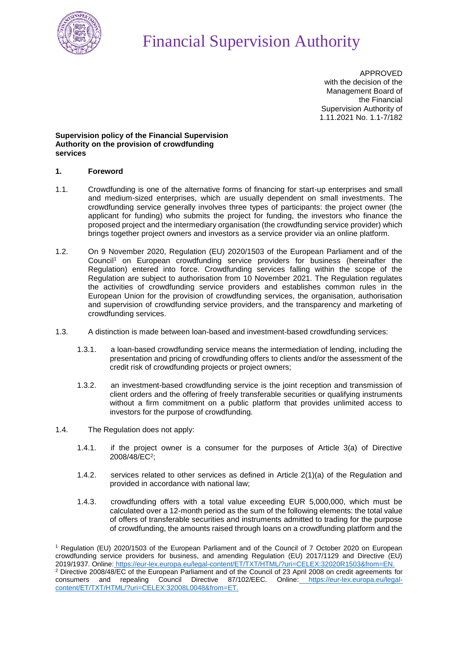

APPROVED with the decision of the Management Board of the Financial Supervision Authority of 1.11.2021 No. 1.1-7/182

## **Supervision policy of the Financial Supervision Authority on the provision of crowdfunding services**

## **1. Foreword**

- 1.1. Crowdfunding is one of the alternative forms of financing for start-up enterprises and small and medium-sized enterprises, which are usually dependent on small investments. The crowdfunding service generally involves three types of participants: the project owner (the applicant for funding) who submits the project for funding, the investors who finance the proposed project and the intermediary organisation (the crowdfunding service provider) which brings together project owners and investors as a service provider via an online platform.
- 1.2. On 9 November 2020, Regulation (EU) 2020/1503 of the European Parliament and of the Council<sup>1</sup> on European crowdfunding service providers for business (hereinafter the Regulation) entered into force. Crowdfunding services falling within the scope of the Regulation are subject to authorisation from 10 November 2021. The Regulation regulates the activities of crowdfunding service providers and establishes common rules in the European Union for the provision of crowdfunding services, the organisation, authorisation and supervision of crowdfunding service providers, and the transparency and marketing of crowdfunding services.
- 1.3. A distinction is made between loan-based and investment-based crowdfunding services:
	- 1.3.1. a loan-based crowdfunding service means the intermediation of lending, including the presentation and pricing of crowdfunding offers to clients and/or the assessment of the credit risk of crowdfunding projects or project owners;
	- 1.3.2. an investment-based crowdfunding service is the joint reception and transmission of client orders and the offering of freely transferable securities or qualifying instruments without a firm commitment on a public platform that provides unlimited access to investors for the purpose of crowdfunding.
- 1.4. The Regulation does not apply:
	- 1.4.1. if the project owner is a consumer for the purposes of Article 3(a) of Directive 2008/48/EC<sup>2</sup>;
	- 1.4.2. services related to other services as defined in Article 2(1)(a) of the Regulation and provided in accordance with national law;
	- 1.4.3. crowdfunding offers with a total value exceeding EUR 5,000,000, which must be calculated over a 12-month period as the sum of the following elements: the total value of offers of transferable securities and instruments admitted to trading for the purpose of crowdfunding, the amounts raised through loans on a crowdfunding platform and the

<sup>1</sup> Regulation (EU) 2020/1503 of the European Parliament and of the Council of 7 October 2020 on European crowdfunding service providers for business, and amending Regulation (EU) 2017/1129 and Directive (EU) 2019/1937. Online: [https://eur-lex.europa.eu/legal-content/ET/TXT/HTML/?uri=CELEX:32020R1503&from=EN.](https://eur-lex.europa.eu/legal-content/ET/TXT/HTML/?uri=CELEX:32020R1503&from=EN) <sup>2</sup> Directive 2008/48/EC of the European Parliament and of the Council of 23 April 2008 on credit agreements for consumers and repealing Council Directive 87/102/EEC. Online: [https://eur-lex.europa.eu/legal](https://eur-lex.europa.eu/legal-)[content/ET/TXT/HTML/?uri=CELEX:32008L0048&from=ET.](https://eur-lex.europa.eu/legal-content/ET/TXT/HTML/?uri=CELEX:32008L0048&from=ET)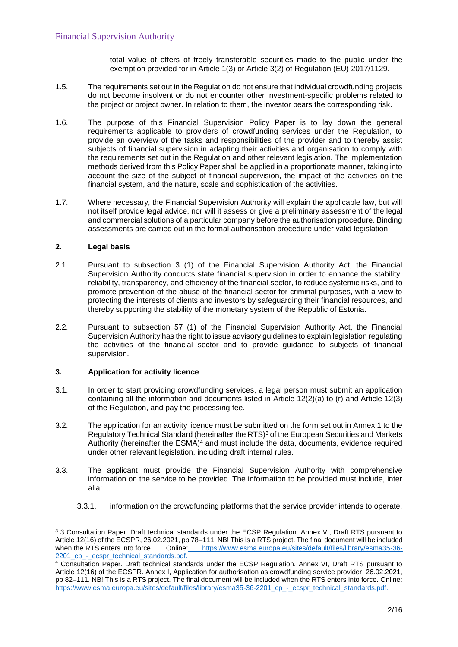total value of offers of freely transferable securities made to the public under the exemption provided for in Article 1(3) or Article 3(2) of Regulation (EU) 2017/1129.

- 1.5. The requirements set out in the Regulation do not ensure that individual crowdfunding projects do not become insolvent or do not encounter other investment-specific problems related to the project or project owner. In relation to them, the investor bears the corresponding risk.
- 1.6. The purpose of this Financial Supervision Policy Paper is to lay down the general requirements applicable to providers of crowdfunding services under the Regulation, to provide an overview of the tasks and responsibilities of the provider and to thereby assist subjects of financial supervision in adapting their activities and organisation to comply with the requirements set out in the Regulation and other relevant legislation. The implementation methods derived from this Policy Paper shall be applied in a proportionate manner, taking into account the size of the subject of financial supervision, the impact of the activities on the financial system, and the nature, scale and sophistication of the activities.
- 1.7. Where necessary, the Financial Supervision Authority will explain the applicable law, but will not itself provide legal advice, nor will it assess or give a preliminary assessment of the legal and commercial solutions of a particular company before the authorisation procedure. Binding assessments are carried out in the formal authorisation procedure under valid legislation.

## **2. Legal basis**

- 2.1. Pursuant to subsection 3 (1) of the Financial Supervision Authority Act, the Financial Supervision Authority conducts state financial supervision in order to enhance the stability, reliability, transparency, and efficiency of the financial sector, to reduce systemic risks, and to promote prevention of the abuse of the financial sector for criminal purposes, with a view to protecting the interests of clients and investors by safeguarding their financial resources, and thereby supporting the stability of the monetary system of the Republic of Estonia.
- 2.2. Pursuant to subsection 57 (1) of the Financial Supervision Authority Act, the Financial Supervision Authority has the right to issue advisory guidelines to explain legislation regulating the activities of the financial sector and to provide guidance to subjects of financial supervision.

## **3. Application for activity licence**

- 3.1. In order to start providing crowdfunding services, a legal person must submit an application containing all the information and documents listed in Article 12(2)(a) to (r) and Article 12(3) of the Regulation, and pay the processing fee.
- 3.2. The application for an activity licence must be submitted on the form set out in Annex 1 to the Regulatory Technical Standard (hereinafter the RTS)<sup>3</sup> of the European Securities and Markets Authority (hereinafter the  $ESMA$ )<sup>4</sup> and must include the data, documents, evidence required under other relevant legislation, including draft internal rules.
- 3.3. The applicant must provide the Financial Supervision Authority with comprehensive information on the service to be provided. The information to be provided must include, inter alia:
	- 3.3.1. information on the crowdfunding platforms that the service provider intends to operate,

<sup>3</sup> 3 Consultation Paper. Draft technical standards under the ECSP Regulation. Annex VI, Draft RTS pursuant to Article 12(16) of the ECSPR, 26.02.2021, pp 78–111. NB! This is a RTS project. The final document will be included when the RTS enters into force. Online: https://www.esma.europa.eu/sites/default/files/library/esma35-36Online: [https://www.esma.europa.eu/sites/default/files/library/esma35-36-](https://www.esma.europa.eu/sites/default/files/library/esma35-36-2201_cp_-) [2201\\_cp\\_-](https://www.esma.europa.eu/sites/default/files/library/esma35-36-2201_cp_-)[\\_ecspr\\_technical\\_standards.pdf.](https://www.esma.europa.eu/sites/default/files/library/esma35-36-2201_cp_-_ecspr_technical_standards.pdf)

<sup>4</sup> Consultation Paper. Draft technical standards under the ECSP Regulation. Annex VI, Draft RTS pursuant to Article 12(16) of the ECSPR. Annex I, Application for authorisation as crowdfunding service provider, 26.02.2021, pp 82–111. NB! This is a RTS project. The final document will be included when the RTS enters into force. Online: [https://www.esma.europa.eu/sites/default/files/library/esma35-36-2201\\_cp\\_-\\_ecspr\\_technical\\_standards.pdf.](https://www.esma.europa.eu/sites/default/files/library/esma35-36-2201_cp_-_ecspr_technical_standards.pdf)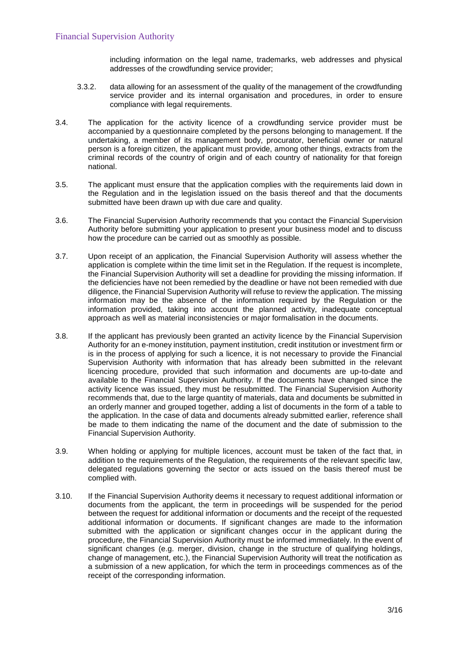including information on the legal name, trademarks, web addresses and physical addresses of the crowdfunding service provider;

- 3.3.2. data allowing for an assessment of the quality of the management of the crowdfunding service provider and its internal organisation and procedures, in order to ensure compliance with legal requirements.
- <span id="page-2-2"></span>3.4. The application for the activity licence of a crowdfunding service provider must be accompanied by a questionnaire completed by the persons belonging to management. If the undertaking, a member of its management body, procurator, beneficial owner or natural person is a foreign citizen, the applicant must provide, among other things, extracts from the criminal records of the country of origin and of each country of nationality for that foreign national.
- 3.5. The applicant must ensure that the application complies with the requirements laid down in the Regulation and in the legislation issued on the basis thereof and that the documents submitted have been drawn up with due care and quality.
- 3.6. The Financial Supervision Authority recommends that you contact the Financial Supervision Authority before submitting your application to present your business model and to discuss how the procedure can be carried out as smoothly as possible.
- <span id="page-2-0"></span>3.7. Upon receipt of an application, the Financial Supervision Authority will assess whether the application is complete within the time limit set in the Regulation. If the request is incomplete, the Financial Supervision Authority will set a deadline for providing the missing information. If the deficiencies have not been remedied by the deadline or have not been remedied with due diligence, the Financial Supervision Authority will refuse to review the application. The missing information may be the absence of the information required by the Regulation or the information provided, taking into account the planned activity, inadequate conceptual approach as well as material inconsistencies or major formalisation in the documents.
- 3.8. If the applicant has previously been granted an activity licence by the Financial Supervision Authority for an e-money institution, payment institution, credit institution or investment firm or is in the process of applying for such a licence, it is not necessary to provide the Financial Supervision Authority with information that has already been submitted in the relevant licencing procedure, provided that such information and documents are up-to-date and available to the Financial Supervision Authority. If the documents have changed since the activity licence was issued, they must be resubmitted. The Financial Supervision Authority recommends that, due to the large quantity of materials, data and documents be submitted in an orderly manner and grouped together, adding a list of documents in the form of a table to the application. In the case of data and documents already submitted earlier, reference shall be made to them indicating the name of the document and the date of submission to the Financial Supervision Authority.
- 3.9. When holding or applying for multiple licences, account must be taken of the fact that, in addition to the requirements of the Regulation, the requirements of the relevant specific law, delegated regulations governing the sector or acts issued on the basis thereof must be complied with.
- <span id="page-2-1"></span>3.10. If the Financial Supervision Authority deems it necessary to request additional information or documents from the applicant, the term in proceedings will be suspended for the period between the request for additional information or documents and the receipt of the requested additional information or documents. If significant changes are made to the information submitted with the application or significant changes occur in the applicant during the procedure, the Financial Supervision Authority must be informed immediately. In the event of significant changes (e.g. merger, division, change in the structure of qualifying holdings, change of management, etc.), the Financial Supervision Authority will treat the notification as a submission of a new application, for which the term in proceedings commences as of the receipt of the corresponding information.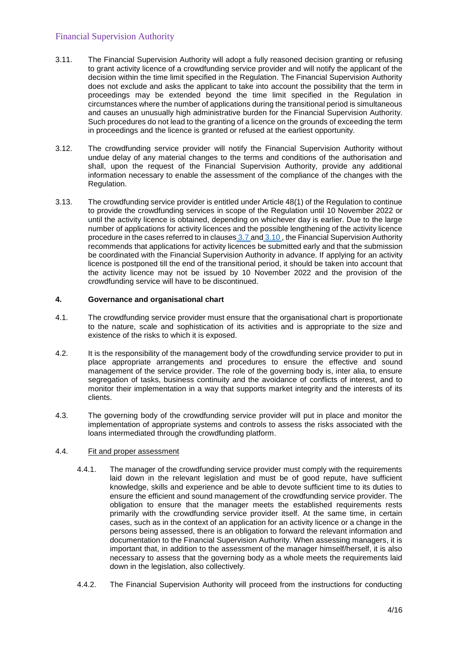- 3.11. The Financial Supervision Authority will adopt a fully reasoned decision granting or refusing to grant activity licence of a crowdfunding service provider and will notify the applicant of the decision within the time limit specified in the Regulation. The Financial Supervision Authority does not exclude and asks the applicant to take into account the possibility that the term in proceedings may be extended beyond the time limit specified in the Regulation in circumstances where the number of applications during the transitional period is simultaneous and causes an unusually high administrative burden for the Financial Supervision Authority. Such procedures do not lead to the granting of a licence on the grounds of exceeding the term in proceedings and the licence is granted or refused at the earliest opportunity.
- 3.12. The crowdfunding service provider will notify the Financial Supervision Authority without undue delay of any material changes to the terms and conditions of the authorisation and shall, upon the request of the Financial Supervision Authority, provide any additional information necessary to enable the assessment of the compliance of the changes with the Regulation.
- 3.13. The crowdfunding service provider is entitled under Article 48(1) of the Regulation to continue to provide the crowdfunding services in scope of the Regulation until 10 November 2022 or until the activity licence is obtained, depending on whichever day is earlier. Due to the large number of applications for activity licences and the possible lengthening of the activity licence procedure in the cases referred to in clauses [3.7 a](#page-2-0)nd [3.10 ,](#page-2-1) the Financial Supervision Authority recommends that applications for activity licences be submitted early and that the submission be coordinated with the Financial Supervision Authority in advance. If applying for an activity licence is postponed till the end of the transitional period, it should be taken into account that the activity licence may not be issued by 10 November 2022 and the provision of the crowdfunding service will have to be discontinued.

## **4. Governance and organisational chart**

- 4.1. The crowdfunding service provider must ensure that the organisational chart is proportionate to the nature, scale and sophistication of its activities and is appropriate to the size and existence of the risks to which it is exposed.
- 4.2. It is the responsibility of the management body of the crowdfunding service provider to put in place appropriate arrangements and procedures to ensure the effective and sound management of the service provider. The role of the governing body is, inter alia, to ensure segregation of tasks, business continuity and the avoidance of conflicts of interest, and to monitor their implementation in a way that supports market integrity and the interests of its clients.
- 4.3. The governing body of the crowdfunding service provider will put in place and monitor the implementation of appropriate systems and controls to assess the risks associated with the loans intermediated through the crowdfunding platform.

# 4.4. Fit and proper assessment

- 4.4.1. The manager of the crowdfunding service provider must comply with the requirements laid down in the relevant legislation and must be of good repute, have sufficient knowledge, skills and experience and be able to devote sufficient time to its duties to ensure the efficient and sound management of the crowdfunding service provider. The obligation to ensure that the manager meets the established requirements rests primarily with the crowdfunding service provider itself. At the same time, in certain cases, such as in the context of an application for an activity licence or a change in the persons being assessed, there is an obligation to forward the relevant information and documentation to the Financial Supervision Authority. When assessing managers, it is important that, in addition to the assessment of the manager himself/herself, it is also necessary to assess that the governing body as a whole meets the requirements laid down in the legislation, also collectively.
- 4.4.2. The Financial Supervision Authority will proceed from the instructions for conducting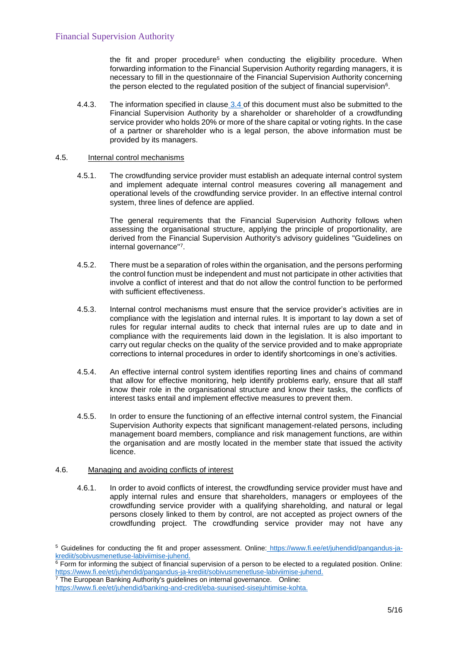the fit and proper procedure<sup>5</sup> when conducting the eligibility procedure. When forwarding information to the Financial Supervision Authority regarding managers, it is necessary to fill in the questionnaire of the Financial Supervision Authority concerning the person elected to the regulated position of the subject of financial supervision $^6\!$ .

4.4.3. The information specified in clause [3.4 o](#page-2-2)f this document must also be submitted to the Financial Supervision Authority by a shareholder or shareholder of a crowdfunding service provider who holds 20% or more of the share capital or voting rights. In the case of a partner or shareholder who is a legal person, the above information must be provided by its managers.

#### 4.5. Internal control mechanisms

4.5.1. The crowdfunding service provider must establish an adequate internal control system and implement adequate internal control measures covering all management and operational levels of the crowdfunding service provider. In an effective internal control system, three lines of defence are applied.

The general requirements that the Financial Supervision Authority follows when assessing the organisational structure, applying the principle of proportionality, are derived from the Financial Supervision Authority's advisory guidelines "Guidelines on internal governance"<sup>7</sup> .

- 4.5.2. There must be a separation of roles within the organisation, and the persons performing the control function must be independent and must not participate in other activities that involve a conflict of interest and that do not allow the control function to be performed with sufficient effectiveness.
- 4.5.3. Internal control mechanisms must ensure that the service provider's activities are in compliance with the legislation and internal rules. It is important to lay down a set of rules for regular internal audits to check that internal rules are up to date and in compliance with the requirements laid down in the legislation. It is also important to carry out regular checks on the quality of the service provided and to make appropriate corrections to internal procedures in order to identify shortcomings in one's activities.
- 4.5.4. An effective internal control system identifies reporting lines and chains of command that allow for effective monitoring, help identify problems early, ensure that all staff know their role in the organisational structure and know their tasks, the conflicts of interest tasks entail and implement effective measures to prevent them.
- 4.5.5. In order to ensure the functioning of an effective internal control system, the Financial Supervision Authority expects that significant management-related persons, including management board members, compliance and risk management functions, are within the organisation and are mostly located in the member state that issued the activity licence.

#### 4.6. Managing and avoiding conflicts of interest

4.6.1. In order to avoid conflicts of interest, the crowdfunding service provider must have and apply internal rules and ensure that shareholders, managers or employees of the crowdfunding service provider with a qualifying shareholding, and natural or legal persons closely linked to them by control, are not accepted as project owners of the crowdfunding project. The crowdfunding service provider may not have any

<sup>7</sup> The European Banking Authority's guidelines on internal governance. Online:

<sup>5</sup> Guidelines for conducting the fit and proper assessment. Online: [https://www.fi.ee/et/juhendid/pangandus-ja](https://www.fi.ee/et/juhendid/pangandus-ja-)[krediit/sobivusmenetluse-labiviimise-juhend.](https://www.fi.ee/et/juhendid/pangandus-ja-krediit/sobivusmenetluse-labiviimise-juhend)

 $6$  Form for informing the subject of financial supervision of a person to be elected to a regulated position. Online: [https://www.fi.ee/et/juhendid/pangandus-ja-krediit/sobivusmenetluse-labiviimise-juhend.](https://www.fi.ee/et/juhendid/pangandus-ja-krediit/sobivusmenetluse-labiviimise-juhend)

[https://www.fi.ee/et/juhendid/banking-and-credit/eba-suunised-sisejuhtimise-kohta.](https://www.fi.ee/et/juhendid/banking-and-credit/eba-suunised-sisejuhtimise-kohta)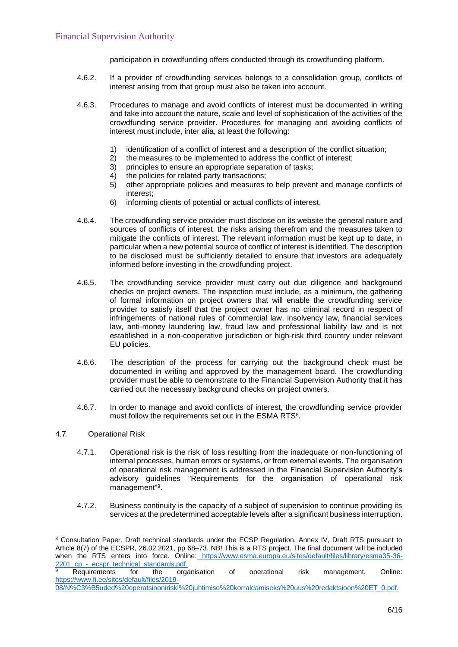participation in crowdfunding offers conducted through its crowdfunding platform.

- 4.6.2. If a provider of crowdfunding services belongs to a consolidation group, conflicts of interest arising from that group must also be taken into account.
- 4.6.3. Procedures to manage and avoid conflicts of interest must be documented in writing and take into account the nature, scale and level of sophistication of the activities of the crowdfunding service provider. Procedures for managing and avoiding conflicts of interest must include, inter alia, at least the following:
	- 1) identification of a conflict of interest and a description of the conflict situation;<br>2) the measures to be implemented to address the conflict of interest:
	- the measures to be implemented to address the conflict of interest;
	- 3) principles to ensure an appropriate separation of tasks;
	- 4) the policies for related party transactions;<br>5) other appropriate policies and measures t
	- other appropriate policies and measures to help prevent and manage conflicts of interest;
	- 6) informing clients of potential or actual conflicts of interest.
- 4.6.4. The crowdfunding service provider must disclose on its website the general nature and sources of conflicts of interest, the risks arising therefrom and the measures taken to mitigate the conflicts of interest. The relevant information must be kept up to date, in particular when a new potential source of conflict of interest is identified. The description to be disclosed must be sufficiently detailed to ensure that investors are adequately informed before investing in the crowdfunding project.
- 4.6.5. The crowdfunding service provider must carry out due diligence and background checks on project owners. The inspection must include, as a minimum, the gathering of formal information on project owners that will enable the crowdfunding service provider to satisfy itself that the project owner has no criminal record in respect of infringements of national rules of commercial law, insolvency law, financial services law, anti-money laundering law, fraud law and professional liability law and is not established in a non-cooperative jurisdiction or high-risk third country under relevant EU policies.
- 4.6.6. The description of the process for carrying out the background check must be documented in writing and approved by the management board. The crowdfunding provider must be able to demonstrate to the Financial Supervision Authority that it has carried out the necessary background checks on project owners.
- 4.6.7. In order to manage and avoid conflicts of interest, the crowdfunding service provider must follow the requirements set out in the ESMA RTS<sup>8</sup>.

## 4.7. Operational Risk

- 4.7.1. Operational risk is the risk of loss resulting from the inadequate or non-functioning of internal processes, human errors or systems, or from external events. The organisation of operational risk management is addressed in the Financial Supervision Authority's advisory guidelines "Requirements for the organisation of operational risk management"<sup>9</sup>.
- 4.7.2. Business continuity is the capacity of a subject of supervision to continue providing its services at the predetermined acceptable levels after a significant business interruption.

<sup>8</sup> Consultation Paper. Draft technical standards under the ECSP Regulation. Annex IV, Draft RTS pursuant to Article 8(7) of the ECSPR, 26.02.2021, pp 68–73. NB! This is a RTS project. The final document will be included when the RTS enters into force. Online: [https://www.esma.europa.eu/sites/default/files/library/esma35-36-](https://www.esma.europa.eu/sites/default/files/library/esma35-36-2201_cp_-) [2201\\_cp\\_-](https://www.esma.europa.eu/sites/default/files/library/esma35-36-2201_cp_-)[\\_ecspr\\_technical\\_standards.pdf.](https://www.esma.europa.eu/sites/default/files/library/esma35-36-2201_cp_-_ecspr_technical_standards.pdf)

Requirements for the organisation of operational risk management. Online[:](https://www.fi.ee/sites/default/files/2019-08/N%c3%b5uded%20operatsiooniriski%20juhtimise%20korraldamiseks%20uus%20redaktsioon%20ET_0.pdf) [https://www.fi.ee/sites/default/files/2019-](https://www.fi.ee/sites/default/files/2019-08/N%c3%b5uded%20operatsiooniriski%20juhtimise%20korraldamiseks%20uus%20redaktsioon%20ET_0.pdf) [08/N%C3%B5uded%20operatsiooniriski%20juhtimise%20korraldamiseks%20uus%20redaktsioon%20ET\\_0.pdf.](https://www.fi.ee/sites/default/files/2019-08/N%c3%b5uded%20operatsiooniriski%20juhtimise%20korraldamiseks%20uus%20redaktsioon%20ET_0.pdf)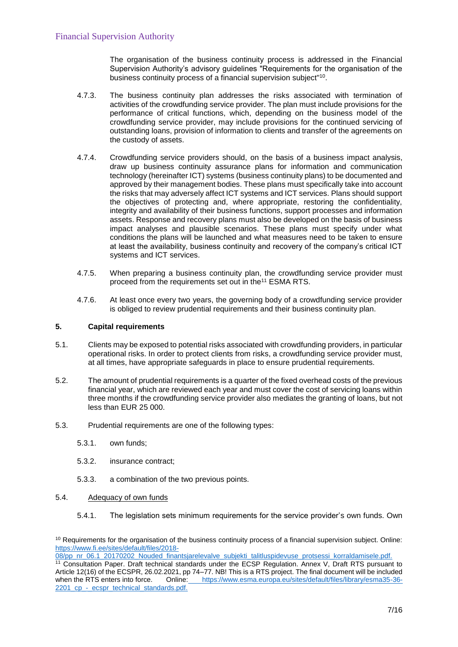The organisation of the business continuity process is addressed in the Financial Supervision Authority's advisory guidelines "Requirements for the organisation of the business continuity process of a financial supervision subject"<sup>10</sup>.

- 4.7.3. The business continuity plan addresses the risks associated with termination of activities of the crowdfunding service provider. The plan must include provisions for the performance of critical functions, which, depending on the business model of the crowdfunding service provider, may include provisions for the continued servicing of outstanding loans, provision of information to clients and transfer of the agreements on the custody of assets.
- 4.7.4. Crowdfunding service providers should, on the basis of a business impact analysis, draw up business continuity assurance plans for information and communication technology (hereinafter ICT) systems (business continuity plans) to be documented and approved by their management bodies. These plans must specifically take into account the risks that may adversely affect ICT systems and ICT services. Plans should support the objectives of protecting and, where appropriate, restoring the confidentiality, integrity and availability of their business functions, support processes and information assets. Response and recovery plans must also be developed on the basis of business impact analyses and plausible scenarios. These plans must specify under what conditions the plans will be launched and what measures need to be taken to ensure at least the availability, business continuity and recovery of the company's critical ICT systems and ICT services.
- 4.7.5. When preparing a business continuity plan, the crowdfunding service provider must proceed from the requirements set out in the<sup>11</sup> ESMA RTS.
- 4.7.6. At least once every two years, the governing body of a crowdfunding service provider is obliged to review prudential requirements and their business continuity plan.

## **5. Capital requirements**

- 5.1. Clients may be exposed to potential risks associated with crowdfunding providers, in particular operational risks. In order to protect clients from risks, a crowdfunding service provider must, at all times, have appropriate safeguards in place to ensure prudential requirements.
- 5.2. The amount of prudential requirements is a quarter of the fixed overhead costs of the previous financial year, which are reviewed each year and must cover the cost of servicing loans within three months if the crowdfunding service provider also mediates the granting of loans, but not less than EUR 25 000.
- 5.3. Prudential requirements are one of the following types:
	- 5.3.1. own funds;
	- 5.3.2. insurance contract;
	- 5.3.3. a combination of the two previous points.
- 5.4. Adequacy of own funds
	- 5.4.1. The legislation sets minimum requirements for the service provider's own funds. Own

<sup>&</sup>lt;sup>10</sup> Requirements for the organisation of the business continuity process of a financial supervision subject. Online: [https://www.fi.ee/sites/default/files/2018-](https://www.fi.ee/sites/default/files/2018-08/pp_nr_06.1_20170202_Nouded_finantsjarelevalve_subjekti_talitluspidevuse_protsessi_korraldamisele.pdf)

[<sup>08/</sup>pp\\_nr\\_06.1\\_20170202\\_Nouded\\_finantsjarelevalve\\_subjekti\\_talitluspidevuse\\_protsessi\\_korraldamisele.pdf.](https://www.fi.ee/sites/default/files/2018-08/pp_nr_06.1_20170202_Nouded_finantsjarelevalve_subjekti_talitluspidevuse_protsessi_korraldamisele.pdf)

<sup>&</sup>lt;sup>11</sup> Consultation Paper. Draft technical standards under the ECSP Regulation. Annex V, Draft RTS pursuant to Article 12(16) of the ECSPR, 26.02.2021, pp 74–77. NB! This is a RTS project. The final document will be included when the RTS enters into force. Online: [https://www.esma.europa.eu/sites/default/files/library/esma35-36-](https://www.esma.europa.eu/sites/default/files/library/esma35-36-2201_cp_-) 2201 cp - ecspr\_technical\_standards.pdf.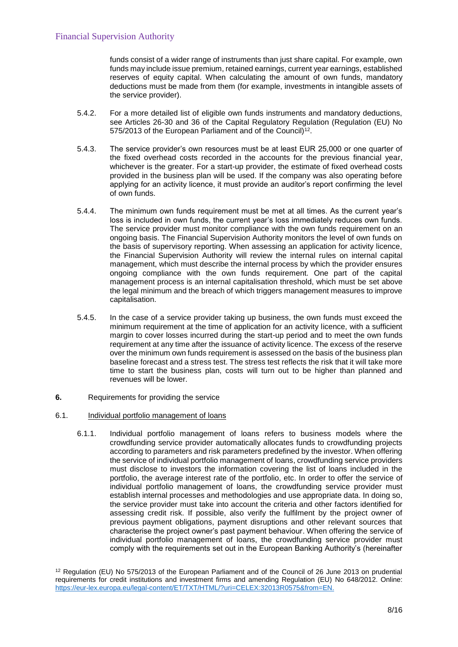funds consist of a wider range of instruments than just share capital. For example, own funds may include issue premium, retained earnings, current year earnings, established reserves of equity capital. When calculating the amount of own funds, mandatory deductions must be made from them (for example, investments in intangible assets of the service provider).

- 5.4.2. For a more detailed list of eligible own funds instruments and mandatory deductions, see Articles 26-30 and 36 of the Capital Regulatory Regulation (Regulation (EU) No 575/2013 of the European Parliament and of the Council)<sup>12</sup>.
- 5.4.3. The service provider's own resources must be at least EUR 25,000 or one quarter of the fixed overhead costs recorded in the accounts for the previous financial year, whichever is the greater. For a start-up provider, the estimate of fixed overhead costs provided in the business plan will be used. If the company was also operating before applying for an activity licence, it must provide an auditor's report confirming the level of own funds.
- 5.4.4. The minimum own funds requirement must be met at all times. As the current year's loss is included in own funds, the current year's loss immediately reduces own funds. The service provider must monitor compliance with the own funds requirement on an ongoing basis. The Financial Supervision Authority monitors the level of own funds on the basis of supervisory reporting. When assessing an application for activity licence, the Financial Supervision Authority will review the internal rules on internal capital management, which must describe the internal process by which the provider ensures ongoing compliance with the own funds requirement. One part of the capital management process is an internal capitalisation threshold, which must be set above the legal minimum and the breach of which triggers management measures to improve capitalisation.
- 5.4.5. In the case of a service provider taking up business, the own funds must exceed the minimum requirement at the time of application for an activity licence, with a sufficient margin to cover losses incurred during the start-up period and to meet the own funds requirement at any time after the issuance of activity licence. The excess of the reserve over the minimum own funds requirement is assessed on the basis of the business plan baseline forecast and a stress test. The stress test reflects the risk that it will take more time to start the business plan, costs will turn out to be higher than planned and revenues will be lower.
- **6.** Requirements for providing the service
- 6.1. Individual portfolio management of loans
	- 6.1.1. Individual portfolio management of loans refers to business models where the crowdfunding service provider automatically allocates funds to crowdfunding projects according to parameters and risk parameters predefined by the investor. When offering the service of individual portfolio management of loans, crowdfunding service providers must disclose to investors the information covering the list of loans included in the portfolio, the average interest rate of the portfolio, etc. In order to offer the service of individual portfolio management of loans, the crowdfunding service provider must establish internal processes and methodologies and use appropriate data. In doing so, the service provider must take into account the criteria and other factors identified for assessing credit risk. If possible, also verify the fulfilment by the project owner of previous payment obligations, payment disruptions and other relevant sources that characterise the project owner's past payment behaviour. When offering the service of individual portfolio management of loans, the crowdfunding service provider must comply with the requirements set out in the European Banking Authority's (hereinafter

<sup>&</sup>lt;sup>12</sup> Regulation (EU) No 575/2013 of the European Parliament and of the Council of 26 June 2013 on prudential requirements for credit institutions and investment firms and amending Regulation (EU) No 648/2012. Online: [https://eur-lex.europa.eu/legal-content/ET/TXT/HTML/?uri=CELEX:32013R0575&from=EN.](https://eur-lex.europa.eu/legal-content/ET/TXT/HTML/?uri=CELEX:32013R0575&from=EN)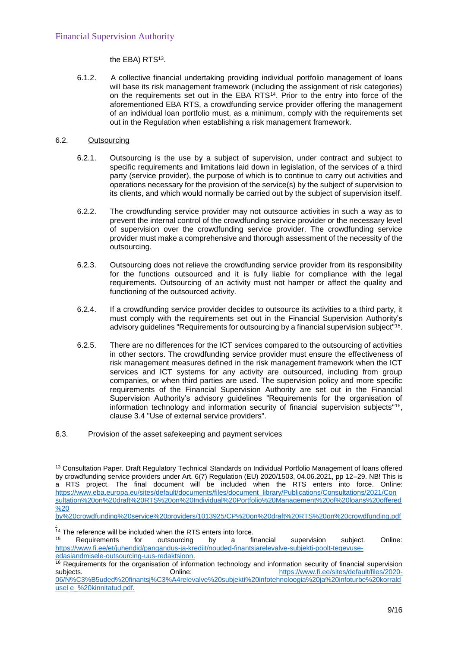the EBA) RTS $^{13}$ .

6.1.2. A collective financial undertaking providing individual portfolio management of loans will base its risk management framework (including the assignment of risk categories) on the requirements set out in the EBA RTS<sup>14</sup>. Prior to the entry into force of the aforementioned EBA RTS, a crowdfunding service provider offering the management of an individual loan portfolio must, as a minimum, comply with the requirements set out in the Regulation when establishing a risk management framework.

## <span id="page-8-0"></span>6.2. Outsourcing

- 6.2.1. Outsourcing is the use by a subject of supervision, under contract and subject to specific requirements and limitations laid down in legislation, of the services of a third party (service provider), the purpose of which is to continue to carry out activities and operations necessary for the provision of the service(s) by the subject of supervision to its clients, and which would normally be carried out by the subject of supervision itself.
- 6.2.2. The crowdfunding service provider may not outsource activities in such a way as to prevent the internal control of the crowdfunding service provider or the necessary level of supervision over the crowdfunding service provider. The crowdfunding service provider must make a comprehensive and thorough assessment of the necessity of the outsourcing.
- 6.2.3. Outsourcing does not relieve the crowdfunding service provider from its responsibility for the functions outsourced and it is fully liable for compliance with the legal requirements. Outsourcing of an activity must not hamper or affect the quality and functioning of the outsourced activity.
- 6.2.4. If a crowdfunding service provider decides to outsource its activities to a third party, it must comply with the requirements set out in the Financial Supervision Authority's advisory guidelines "Requirements for outsourcing by a financial supervision subject"<sup>15</sup>.
- 6.2.5. There are no differences for the ICT services compared to the outsourcing of activities in other sectors. The crowdfunding service provider must ensure the effectiveness of risk management measures defined in the risk management framework when the ICT services and ICT systems for any activity are outsourced, including from group companies, or when third parties are used. The supervision policy and more specific requirements of the Financial Supervision Authority are set out in the Financial Supervision Authority's advisory guidelines "Requirements for the organisation of information technology and information security of financial supervision subjects"<sup>16</sup> , clause 3.4 "Use of external service providers".
- 6.3. Provision of the asset safekeeping and payment services

<sup>13</sup> Consultation Paper. Draft Regulatory Technical Standards on Individual Portfolio Management of loans offered by crowdfunding service providers under Art. 6(7) Regulation (EU) 2020/1503, 04.06.2021, pp 12–29. NB! This is a RTS project. The final document will be included when the RTS enters into force. Online: [https://www.eba.europa.eu/sites/default/documents/files/document\\_library/Publications/Consultations/2021/Con](https://www.eba.europa.eu/sites/default/documents/files/document_library/Publications/Consultations/2021/Consultation%20on%20draft%20RTS%20on%20Individual%20Portfolio%20Management%20of%20loans%20offered%20by%20crowdfunding%20service%20providers/1013925/CP%20on%20draft%20RTS%20on%20crowdfunding.pdf) [sultation%20on%20draft%20RTS%20on%20Individual%20Portfolio%20Management%20of%20loans%20offered](https://www.eba.europa.eu/sites/default/documents/files/document_library/Publications/Consultations/2021/Consultation%20on%20draft%20RTS%20on%20Individual%20Portfolio%20Management%20of%20loans%20offered%20by%20crowdfunding%20service%20providers/1013925/CP%20on%20draft%20RTS%20on%20crowdfunding.pdf)  $\frac{9}{20}$ [by%20crowdfunding%20service%20providers/1013925/CP%20on%20draft%20RTS%20on%20crowdfunding.pdf](https://www.eba.europa.eu/sites/default/documents/files/document_library/Publications/Consultations/2021/Consultation%20on%20draft%20RTS%20on%20Individual%20Portfolio%20Management%20of%20loans%20offered%20by%20crowdfunding%20service%20providers/1013925/CP%20on%20draft%20RTS%20on%20crowdfunding.pdf)

[<sup>.</sup>](https://www.eba.europa.eu/sites/default/documents/files/document_library/Publications/Consultations/2021/Consultation%20on%20draft%20RTS%20on%20Individual%20Portfolio%20Management%20of%20loans%20offered%20by%20crowdfunding%20service%20providers/1013925/CP%20on%20draft%20RTS%20on%20crowdfunding.pdf) <sup>14</sup> The reference will be included when the RTS enters into force.

<sup>15</sup> Requirements for outsourcing by a financial supervision subject. Online: [https://www.fi.ee/et/juhendid/pangandus-ja-krediit/nouded-finantsjarelevalve-subjekti-poolt-tegevuse](https://www.fi.ee/et/juhendid/pangandus-ja-krediit/nouded-finantsjarelevalve-subjekti-poolt-tegevuse-edasiandmisele-outsourcing-uus-redaktsioon)[edasiandmisele-outsourcing-uus-redaktsioon.](https://www.fi.ee/et/juhendid/pangandus-ja-krediit/nouded-finantsjarelevalve-subjekti-poolt-tegevuse-edasiandmisele-outsourcing-uus-redaktsioon)

<sup>&</sup>lt;sup>16</sup> Requirements for the organisation of information technology and information security of financial supervision subjects. Online: [https://www.fi.ee/sites/default/files/2020-](https://www.fi.ee/sites/default/files/2020-06/N%c3%b5uded%20finantsj%c3%a4relevalve%20subjekti%20infotehnoloogia%20ja%20infoturbe%20korraldusele_%20kinnitatud.pdf) [06/N%C3%B5uded%20finantsj%C3%A4relevalve%20subjekti%20infotehnoloogia%20ja%20infoturbe%20korrald](https://www.fi.ee/sites/default/files/2020-06/N%c3%b5uded%20finantsj%c3%a4relevalve%20subjekti%20infotehnoloogia%20ja%20infoturbe%20korraldusele_%20kinnitatud.pdf) [usel](https://www.fi.ee/sites/default/files/2020-06/N%c3%b5uded%20finantsj%c3%a4relevalve%20subjekti%20infotehnoloogia%20ja%20infoturbe%20korraldusele_%20kinnitatud.pdf) e %20kinnitatud.pdf.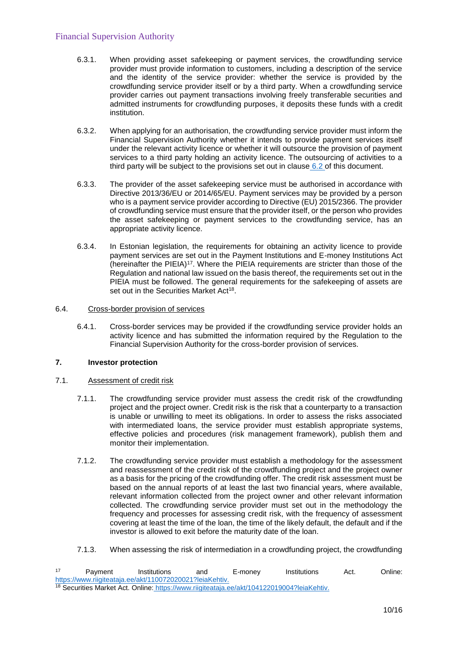- 6.3.1. When providing asset safekeeping or payment services, the crowdfunding service provider must provide information to customers, including a description of the service and the identity of the service provider: whether the service is provided by the crowdfunding service provider itself or by a third party. When a crowdfunding service provider carries out payment transactions involving freely transferable securities and admitted instruments for crowdfunding purposes, it deposits these funds with a credit institution.
- 6.3.2. When applying for an authorisation, the crowdfunding service provider must inform the Financial Supervision Authority whether it intends to provide payment services itself under the relevant activity licence or whether it will outsource the provision of payment services to a third party holding an activity licence. The outsourcing of activities to a third party will be subject to the provisions set out in clause  $6.2$  of this document.
- 6.3.3. The provider of the asset safekeeping service must be authorised in accordance with Directive 2013/36/EU or 2014/65/EU. Payment services may be provided by a person who is a payment service provider according to Directive (EU) 2015/2366. The provider of crowdfunding service must ensure that the provider itself, or the person who provides the asset safekeeping or payment services to the crowdfunding service, has an appropriate activity licence.
- 6.3.4. In Estonian legislation, the requirements for obtaining an activity licence to provide payment services are set out in the Payment Institutions and E-money Institutions Act (hereinafter the PIEIA) $17$ . Where the PIEIA requirements are stricter than those of the Regulation and national law issued on the basis thereof, the requirements set out in the PIEIA must be followed. The general requirements for the safekeeping of assets are set out in the Securities Market Act<sup>18</sup>.

## 6.4. Cross-border provision of services

6.4.1. Cross-border services may be provided if the crowdfunding service provider holds an activity licence and has submitted the information required by the Regulation to the Financial Supervision Authority for the cross-border provision of services.

## **7. Investor protection**

## 7.1. Assessment of credit risk

- 7.1.1. The crowdfunding service provider must assess the credit risk of the crowdfunding project and the project owner. Credit risk is the risk that a counterparty to a transaction is unable or unwilling to meet its obligations. In order to assess the risks associated with intermediated loans, the service provider must establish appropriate systems, effective policies and procedures (risk management framework), publish them and monitor their implementation.
- 7.1.2. The crowdfunding service provider must establish a methodology for the assessment and reassessment of the credit risk of the crowdfunding project and the project owner as a basis for the pricing of the crowdfunding offer. The credit risk assessment must be based on the annual reports of at least the last two financial years, where available, relevant information collected from the project owner and other relevant information collected. The crowdfunding service provider must set out in the methodology the frequency and processes for assessing credit risk, with the frequency of assessment covering at least the time of the loan, the time of the likely default, the default and if the investor is allowed to exit before the maturity date of the loan.
- 7.1.3. When assessing the risk of intermediation in a crowdfunding project, the crowdfunding

<sup>17</sup> Payment Institutions and E-money Institutions Act. Onlin[e:](https://www.riigiteataja.ee/akt/110072020021?leiaKehtiv) [https://www.riigiteataja.ee/akt/110072020021?leiaKehtiv.](https://www.riigiteataja.ee/akt/110072020021?leiaKehtiv) <sup>18</sup> Securities Market Act. Online: [https://www.riigiteataja.ee/akt/104122019004?leiaKehtiv.](https://www.riigiteataja.ee/akt/104122019004?leiaKehtiv)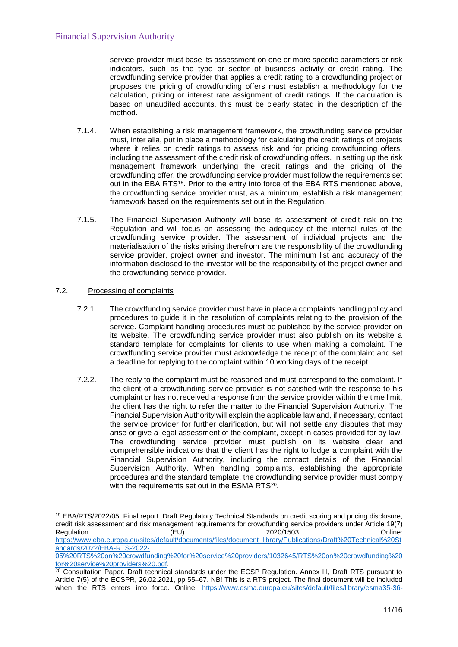service provider must base its assessment on one or more specific parameters or risk indicators, such as the type or sector of business activity or credit rating. The crowdfunding service provider that applies a credit rating to a crowdfunding project or proposes the pricing of crowdfunding offers must establish a methodology for the calculation, pricing or interest rate assignment of credit ratings. If the calculation is based on unaudited accounts, this must be clearly stated in the description of the method.

- 7.1.4. When establishing a risk management framework, the crowdfunding service provider must, inter alia, put in place a methodology for calculating the credit ratings of projects where it relies on credit ratings to assess risk and for pricing crowdfunding offers, including the assessment of the credit risk of crowdfunding offers. In setting up the risk management framework underlying the credit ratings and the pricing of the crowdfunding offer, the crowdfunding service provider must follow the requirements set out in the EBA RTS<sup>19</sup>. Prior to the entry into force of the EBA RTS mentioned above, the crowdfunding service provider must, as a minimum, establish a risk management framework based on the requirements set out in the Regulation.
- 7.1.5. The Financial Supervision Authority will base its assessment of credit risk on the Regulation and will focus on assessing the adequacy of the internal rules of the crowdfunding service provider. The assessment of individual projects and the materialisation of the risks arising therefrom are the responsibility of the crowdfunding service provider, project owner and investor. The minimum list and accuracy of the information disclosed to the investor will be the responsibility of the project owner and the crowdfunding service provider.

## 7.2. Processing of complaints

- 7.2.1. The crowdfunding service provider must have in place a complaints handling policy and procedures to guide it in the resolution of complaints relating to the provision of the service. Complaint handling procedures must be published by the service provider on its website. The crowdfunding service provider must also publish on its website a standard template for complaints for clients to use when making a complaint. The crowdfunding service provider must acknowledge the receipt of the complaint and set a deadline for replying to the complaint within 10 working days of the receipt.
- 7.2.2. The reply to the complaint must be reasoned and must correspond to the complaint. If the client of a crowdfunding service provider is not satisfied with the response to his complaint or has not received a response from the service provider within the time limit, the client has the right to refer the matter to the Financial Supervision Authority. The Financial Supervision Authority will explain the applicable law and, if necessary, contact the service provider for further clarification, but will not settle any disputes that may arise or give a legal assessment of the complaint, except in cases provided for by law. The crowdfunding service provider must publish on its website clear and comprehensible indications that the client has the right to lodge a complaint with the Financial Supervision Authority, including the contact details of the Financial Supervision Authority. When handling complaints, establishing the appropriate procedures and the standard template, the crowdfunding service provider must comply with the requirements set out in the ESMA RTS<sup>20</sup>.

<sup>19</sup> EBA/RTS/2022/05. Final report. Draft Regulatory Technical Standards on credit scoring and pricing disclosure, credit risk assessment and risk management requirements for crowdfunding service providers under Article 19(7) Regulation **CEU** (EU) 2020/1503 Conline: [https://www.eba.europa.eu/sites/default/documents/files/document\\_library/Publications/Draft%20Technical%20St](https://www.eba.europa.eu/sites/default/documents/files/document_library/Publications/Draft%20Technical%20Standards/2022/EBA-RTS-2022-05%20RTS%20on%20crowdfunding%20for%20service%20providers/1032645/RTS%20on%20crowdfunding%20for%20service%20providers%20.pdf) [andards/2022/EBA-RTS-2022-](https://www.eba.europa.eu/sites/default/documents/files/document_library/Publications/Draft%20Technical%20Standards/2022/EBA-RTS-2022-05%20RTS%20on%20crowdfunding%20for%20service%20providers/1032645/RTS%20on%20crowdfunding%20for%20service%20providers%20.pdf)

[<sup>05%20</sup>RTS%20on%20crowdfunding%20for%20service%20providers/1032645/RTS%20on%20crowdfunding%20](https://www.eba.europa.eu/sites/default/documents/files/document_library/Publications/Draft%20Technical%20Standards/2022/EBA-RTS-2022-05%20RTS%20on%20crowdfunding%20for%20service%20providers/1032645/RTS%20on%20crowdfunding%20for%20service%20providers%20.pdf) [for%20service%20providers%20.pdf.](https://www.eba.europa.eu/sites/default/documents/files/document_library/Publications/Draft%20Technical%20Standards/2022/EBA-RTS-2022-05%20RTS%20on%20crowdfunding%20for%20service%20providers/1032645/RTS%20on%20crowdfunding%20for%20service%20providers%20.pdf)

<sup>&</sup>lt;sup>20</sup> Consultation Paper. Draft technical standards under the ECSP Regulation. Annex III, Draft RTS pursuant to Article 7(5) of the ECSPR, 26.02.2021, pp 55–67. NB! This is a RTS project. The final document will be included when the RTS enters into force. Online: [https://www.esma.europa.eu/sites/default/files/library/esma35-36-](https://www.esma.europa.eu/sites/default/files/library/esma35-36-2201_cp_-)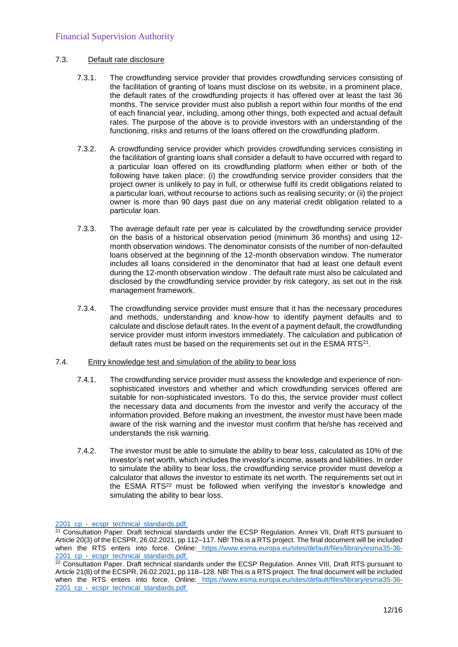## 7.3. Default rate disclosure

- 7.3.1. The crowdfunding service provider that provides crowdfunding services consisting of the facilitation of granting of loans must disclose on its website, in a prominent place, the default rates of the crowdfunding projects it has offered over at least the last 36 months. The service provider must also publish a report within four months of the end of each financial year, including, among other things, both expected and actual default rates. The purpose of the above is to provide investors with an understanding of the functioning, risks and returns of the loans offered on the crowdfunding platform.
- 7.3.2. A crowdfunding service provider which provides crowdfunding services consisting in the facilitation of granting loans shall consider a default to have occurred with regard to a particular loan offered on its crowdfunding platform when either or both of the following have taken place: (i) the crowdfunding service provider considers that the project owner is unlikely to pay in full, or otherwise fulfil its credit obligations related to a particular loan, without recourse to actions such as realising security; or (ii) the project owner is more than 90 days past due on any material credit obligation related to a particular loan.
- 7.3.3. The average default rate per year is calculated by the crowdfunding service provider on the basis of a historical observation period (minimum 36 months) and using 12 month observation windows. The denominator consists of the number of non-defaulted loans observed at the beginning of the 12-month observation window. The numerator includes all loans considered in the denominator that had at least one default event during the 12-month observation window . The default rate must also be calculated and disclosed by the crowdfunding service provider by risk category, as set out in the risk management framework.
- 7.3.4. The crowdfunding service provider must ensure that it has the necessary procedures and methods, understanding and know-how to identify payment defaults and to calculate and disclose default rates. In the event of a payment default, the crowdfunding service provider must inform investors immediately. The calculation and publication of default rates must be based on the requirements set out in the ESMA RTS<sup>21</sup>.
- 7.4. Entry knowledge test and simulation of the ability to bear loss
	- 7.4.1. The crowdfunding service provider must assess the knowledge and experience of nonsophisticated investors and whether and which crowdfunding services offered are suitable for non-sophisticated investors. To do this, the service provider must collect the necessary data and documents from the investor and verify the accuracy of the information provided. Before making an investment, the investor must have been made aware of the risk warning and the investor must confirm that he/she has received and understands the risk warning.
	- 7.4.2. The investor must be able to simulate the ability to bear loss, calculated as 10% of the investor's net worth, which includes the investor's income, assets and liabilities. In order to simulate the ability to bear loss, the crowdfunding service provider must develop a calculator that allows the investor to estimate its net worth. The requirements set out in the ESMA RTS<sup>22</sup> must be followed when verifying the investor's knowledge and simulating the ability to bear loss.

2201 cp - ecspr\_technical\_standards.pdf.

<sup>&</sup>lt;sup>21</sup> Consultation Paper. Draft technical standards under the ECSP Regulation. Annex VII, Draft RTS pursuant to Article 20(3) of the ECSPR, 26.02.2021, pp 112–117. NB! This is a RTS project. The final document will be included when the RTS enters into force. Online: [https://www.esma.europa.eu/sites/default/files/library/esma35-36-](https://www.esma.europa.eu/sites/default/files/library/esma35-36-2201_cp_-) [2201\\_cp\\_-](https://www.esma.europa.eu/sites/default/files/library/esma35-36-2201_cp_-)[\\_ecspr\\_technical\\_standards.pdf.](https://www.esma.europa.eu/sites/default/files/library/esma35-36-2201_cp_-_ecspr_technical_standards.pdf)

 $22$  Consultation Paper. Draft technical standards under the ECSP Regulation. Annex VIII, Draft RTS pursuant to Article 21(8) of the ECSPR, 26.02.2021, pp 118–128. NB! This is a RTS project. The final document will be included when the RTS enters into force. Online: [https://www.esma.europa.eu/sites/default/files/library/esma35-36-](https://www.esma.europa.eu/sites/default/files/library/esma35-36-2201_cp_-) 2201 cp - ecspr\_technical\_standards.pdf.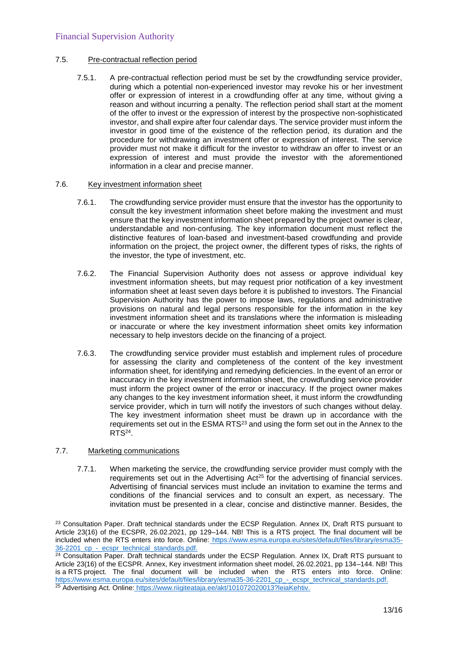## 7.5. Pre-contractual reflection period

7.5.1. A pre-contractual reflection period must be set by the crowdfunding service provider, during which a potential non-experienced investor may revoke his or her investment offer or expression of interest in a crowdfunding offer at any time, without giving a reason and without incurring a penalty. The reflection period shall start at the moment of the offer to invest or the expression of interest by the prospective non-sophisticated investor, and shall expire after four calendar days. The service provider must inform the investor in good time of the existence of the reflection period, its duration and the procedure for withdrawing an investment offer or expression of interest. The service provider must not make it difficult for the investor to withdraw an offer to invest or an expression of interest and must provide the investor with the aforementioned information in a clear and precise manner.

## 7.6. Key investment information sheet

- 7.6.1. The crowdfunding service provider must ensure that the investor has the opportunity to consult the key investment information sheet before making the investment and must ensure that the key investment information sheet prepared by the project owner is clear, understandable and non-confusing. The key information document must reflect the distinctive features of loan-based and investment-based crowdfunding and provide information on the project, the project owner, the different types of risks, the rights of the investor, the type of investment, etc.
- 7.6.2. The Financial Supervision Authority does not assess or approve individual key investment information sheets, but may request prior notification of a key investment information sheet at least seven days before it is published to investors. The Financial Supervision Authority has the power to impose laws, regulations and administrative provisions on natural and legal persons responsible for the information in the key investment information sheet and its translations where the information is misleading or inaccurate or where the key investment information sheet omits key information necessary to help investors decide on the financing of a project.
- 7.6.3. The crowdfunding service provider must establish and implement rules of procedure for assessing the clarity and completeness of the content of the key investment information sheet, for identifying and remedying deficiencies. In the event of an error or inaccuracy in the key investment information sheet, the crowdfunding service provider must inform the project owner of the error or inaccuracy. If the project owner makes any changes to the key investment information sheet, it must inform the crowdfunding service provider, which in turn will notify the investors of such changes without delay. The key investment information sheet must be drawn up in accordance with the requirements set out in the ESMA RTS<sup>23</sup> and using the form set out in the Annex to the RTS<sup>24</sup> .

## 7.7. Marketing communications

7.7.1. When marketing the service, the crowdfunding service provider must comply with the requirements set out in the Advertising  $Act^{25}$  for the advertising of financial services. Advertising of financial services must include an invitation to examine the terms and conditions of the financial services and to consult an expert, as necessary. The invitation must be presented in a clear, concise and distinctive manner. Besides, the

<sup>&</sup>lt;sup>23</sup> Consultation Paper. Draft technical standards under the ECSP Regulation. Annex IX, Draft RTS pursuant to Article 23(16) of the ECSPR, 26.02.2021, pp 129–144. NB! This is a RTS project. The final document will be included when the RTS enters into force. Online: [https://www.esma.europa.eu/sites/default/files/library/esma35-](https://www.esma.europa.eu/sites/default/files/library/esma35-36-2201_cp_-) 36-2201 cp - ecspr\_technical\_standards.pdf.

<sup>&</sup>lt;sup>24</sup> Consultation Paper. Draft technical standards under the ECSP Regulation. Annex IX, Draft RTS pursuant to Article 23(16) of the ECSPR. Annex, Key investment information sheet model, 26.02.2021, pp 134–144. NB! This is a RTS project. The final document will be included when the RTS enters into force. Online: [https://www.esma.europa.eu/sites/default/files/library/esma35-36-2201\\_cp\\_-\\_ecspr\\_technical\\_standards.pdf.](https://www.esma.europa.eu/sites/default/files/library/esma35-36-2201_cp_-_ecspr_technical_standards.pdf) <sup>25</sup> Advertising Act. Online: [https://www.riigiteataja.ee/akt/101072020013?leiaKehtiv.](https://www.riigiteataja.ee/akt/101072020013?leiaKehtiv)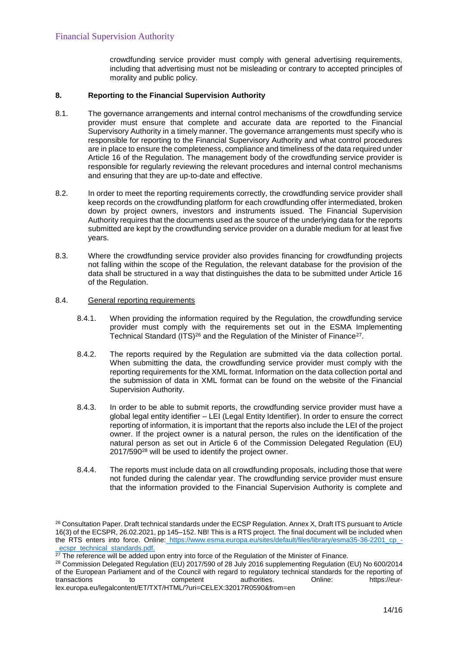crowdfunding service provider must comply with general advertising requirements, including that advertising must not be misleading or contrary to accepted principles of morality and public policy.

## **8. Reporting to the Financial Supervision Authority**

- 8.1. The governance arrangements and internal control mechanisms of the crowdfunding service provider must ensure that complete and accurate data are reported to the Financial Supervisory Authority in a timely manner. The governance arrangements must specify who is responsible for reporting to the Financial Supervisory Authority and what control procedures are in place to ensure the completeness, compliance and timeliness of the data required under Article 16 of the Regulation. The management body of the crowdfunding service provider is responsible for regularly reviewing the relevant procedures and internal control mechanisms and ensuring that they are up-to-date and effective.
- 8.2. In order to meet the reporting requirements correctly, the crowdfunding service provider shall keep records on the crowdfunding platform for each crowdfunding offer intermediated, broken down by project owners, investors and instruments issued. The Financial Supervision Authority requires that the documents used as the source of the underlying data for the reports submitted are kept by the crowdfunding service provider on a durable medium for at least five years.
- 8.3. Where the crowdfunding service provider also provides financing for crowdfunding projects not falling within the scope of the Regulation, the relevant database for the provision of the data shall be structured in a way that distinguishes the data to be submitted under Article 16 of the Regulation.

## 8.4. General reporting requirements

- 8.4.1. When providing the information required by the Regulation, the crowdfunding service provider must comply with the requirements set out in the ESMA Implementing Technical Standard (ITS)<sup>26</sup> and the Regulation of the Minister of Finance<sup>27</sup>.
- 8.4.2. The reports required by the Regulation are submitted via the data collection portal. When submitting the data, the crowdfunding service provider must comply with the reporting requirements for the XML format. Information on the data collection portal and the submission of data in XML format can be found on the website of the Financial Supervision Authority.
- 8.4.3. In order to be able to submit reports, the crowdfunding service provider must have a global legal entity identifier – LEI (Legal Entity Identifier). In order to ensure the correct reporting of information, it is important that the reports also include the LEI of the project owner. If the project owner is a natural person, the rules on the identification of the natural person as set out in Article 6 of the Commission Delegated Regulation (EU) 2017/590<sup>28</sup> will be used to identify the project owner.
- 8.4.4. The reports must include data on all crowdfunding proposals, including those that were not funded during the calendar year. The crowdfunding service provider must ensure that the information provided to the Financial Supervision Authority is complete and

<sup>&</sup>lt;sup>26</sup> Consultation Paper. Draft technical standards under the ECSP Regulation. Annex X, Draft ITS pursuant to Article 16(3) of the ECSPR, 26.02.2021, pp 145–152. NB! This is a RTS project. The final document will be included when the RTS enters into force. Online: [https://www.esma.europa.eu/sites/default/files/library/esma35-36-2201\\_cp\\_-](https://www.esma.europa.eu/sites/default/files/library/esma35-36-2201_cp_-) [\\_ecspr\\_technical\\_standards.pdf.](https://www.esma.europa.eu/sites/default/files/library/esma35-36-2201_cp_-_ecspr_technical_standards.pdf)

<sup>&</sup>lt;sup>27</sup> The reference will be added upon entry into force of the Regulation of the Minister of Finance.

<sup>&</sup>lt;sup>28</sup> Commission Delegated Regulation (EU) 2017/590 of 28 July 2016 supplementing Regulation (EU) No 600/2014 of the European Parliament and of the Council with regard to regulatory technical standards for the reporting of transactions to competent authorities. Online: https://eurtransactions to competent authorities. Online: https://eurlex.europa.eu/legalcontent/ET/TXT/HTML/?uri=CELEX:32017R0590&from=en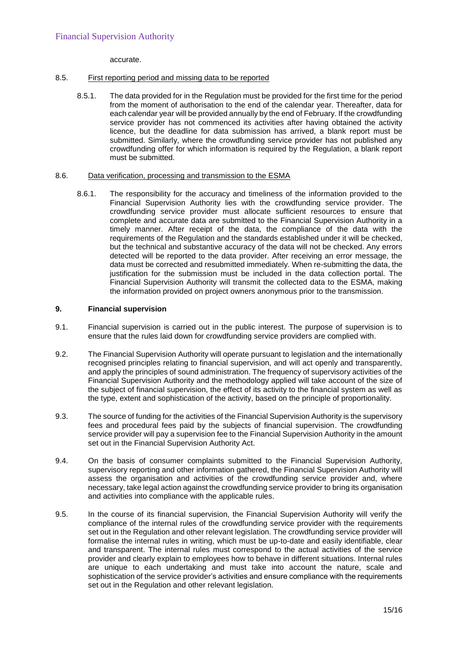accurate.

## 8.5. First reporting period and missing data to be reported

8.5.1. The data provided for in the Regulation must be provided for the first time for the period from the moment of authorisation to the end of the calendar year. Thereafter, data for each calendar year will be provided annually by the end of February. If the crowdfunding service provider has not commenced its activities after having obtained the activity licence, but the deadline for data submission has arrived, a blank report must be submitted. Similarly, where the crowdfunding service provider has not published any crowdfunding offer for which information is required by the Regulation, a blank report must be submitted.

## 8.6. Data verification, processing and transmission to the ESMA

8.6.1. The responsibility for the accuracy and timeliness of the information provided to the Financial Supervision Authority lies with the crowdfunding service provider. The crowdfunding service provider must allocate sufficient resources to ensure that complete and accurate data are submitted to the Financial Supervision Authority in a timely manner. After receipt of the data, the compliance of the data with the requirements of the Regulation and the standards established under it will be checked, but the technical and substantive accuracy of the data will not be checked. Any errors detected will be reported to the data provider. After receiving an error message, the data must be corrected and resubmitted immediately. When re-submitting the data, the justification for the submission must be included in the data collection portal. The Financial Supervision Authority will transmit the collected data to the ESMA, making the information provided on project owners anonymous prior to the transmission.

## **9. Financial supervision**

- 9.1. Financial supervision is carried out in the public interest. The purpose of supervision is to ensure that the rules laid down for crowdfunding service providers are complied with.
- 9.2. The Financial Supervision Authority will operate pursuant to legislation and the internationally recognised principles relating to financial supervision, and will act openly and transparently, and apply the principles of sound administration. The frequency of supervisory activities of the Financial Supervision Authority and the methodology applied will take account of the size of the subject of financial supervision, the effect of its activity to the financial system as well as the type, extent and sophistication of the activity, based on the principle of proportionality.
- 9.3. The source of funding for the activities of the Financial Supervision Authority is the supervisory fees and procedural fees paid by the subjects of financial supervision. The crowdfunding service provider will pay a supervision fee to the Financial Supervision Authority in the amount set out in the Financial Supervision Authority Act.
- 9.4. On the basis of consumer complaints submitted to the Financial Supervision Authority, supervisory reporting and other information gathered, the Financial Supervision Authority will assess the organisation and activities of the crowdfunding service provider and, where necessary, take legal action against the crowdfunding service provider to bring its organisation and activities into compliance with the applicable rules.
- 9.5. In the course of its financial supervision, the Financial Supervision Authority will verify the compliance of the internal rules of the crowdfunding service provider with the requirements set out in the Regulation and other relevant legislation. The crowdfunding service provider will formalise the internal rules in writing, which must be up-to-date and easily identifiable, clear and transparent. The internal rules must correspond to the actual activities of the service provider and clearly explain to employees how to behave in different situations. Internal rules are unique to each undertaking and must take into account the nature, scale and sophistication of the service provider's activities and ensure compliance with the requirements set out in the Regulation and other relevant legislation.